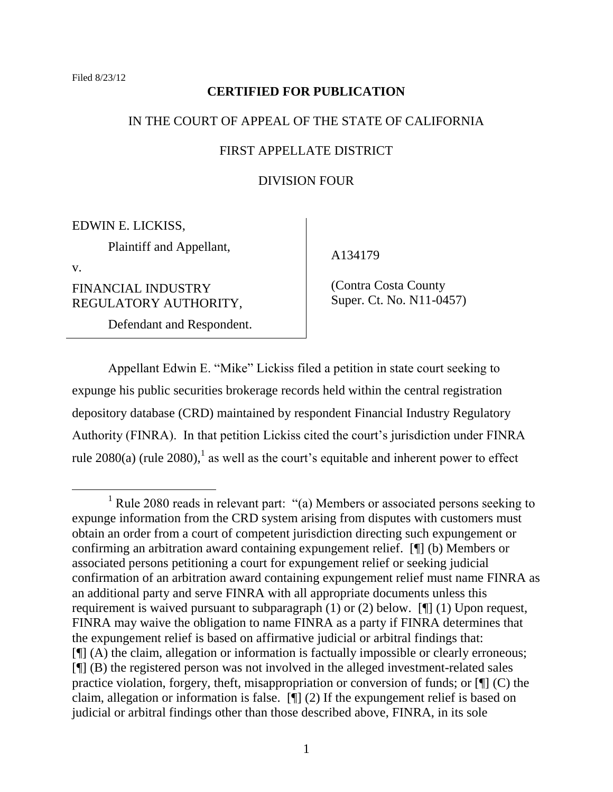### **CERTIFIED FOR PUBLICATION**

### IN THE COURT OF APPEAL OF THE STATE OF CALIFORNIA

## FIRST APPELLATE DISTRICT

## DIVISION FOUR

EDWIN E. LICKISS,

Plaintiff and Appellant,

v.

 $\overline{a}$ 

FINANCIAL INDUSTRY REGULATORY AUTHORITY,

Defendant and Respondent.

A134179

 (Contra Costa County Super. Ct. No. N11-0457)

Appellant Edwin E. "Mike" Lickiss filed a petition in state court seeking to expunge his public securities brokerage records held within the central registration depository database (CRD) maintained by respondent Financial Industry Regulatory Authority (FINRA). In that petition Lickiss cited the court's jurisdiction under FINRA rule 2080(a) (rule 2080),<sup>1</sup> as well as the court's equitable and inherent power to effect

 $1$  Rule 2080 reads in relevant part: "(a) Members or associated persons seeking to expunge information from the CRD system arising from disputes with customers must obtain an order from a court of competent jurisdiction directing such expungement or confirming an arbitration award containing expungement relief. [¶] (b) Members or associated persons petitioning a court for expungement relief or seeking judicial confirmation of an arbitration award containing expungement relief must name FINRA as an additional party and serve FINRA with all appropriate documents unless this requirement is waived pursuant to subparagraph (1) or (2) below. [¶] (1) Upon request, FINRA may waive the obligation to name FINRA as a party if FINRA determines that the expungement relief is based on affirmative judicial or arbitral findings that: [¶] (A) the claim, allegation or information is factually impossible or clearly erroneous;  $[\n\P$  (B) the registered person was not involved in the alleged investment-related sales practice violation, forgery, theft, misappropriation or conversion of funds; or [¶] (C) the claim, allegation or information is false. [¶] (2) If the expungement relief is based on judicial or arbitral findings other than those described above, FINRA, in its sole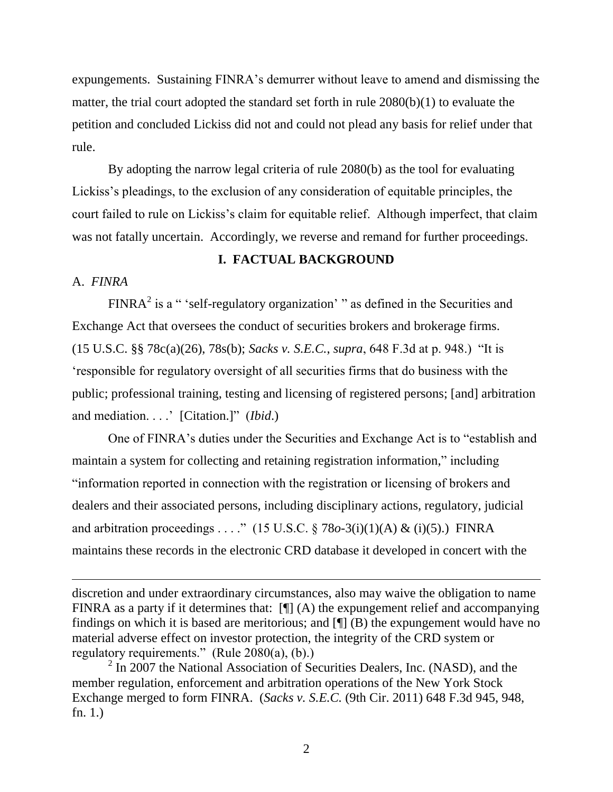expungements. Sustaining FINRA's demurrer without leave to amend and dismissing the matter, the trial court adopted the standard set forth in rule 2080(b)(1) to evaluate the petition and concluded Lickiss did not and could not plead any basis for relief under that rule.

By adopting the narrow legal criteria of rule 2080(b) as the tool for evaluating Lickiss's pleadings, to the exclusion of any consideration of equitable principles, the court failed to rule on Lickiss's claim for equitable relief. Although imperfect, that claim was not fatally uncertain. Accordingly, we reverse and remand for further proceedings.

## **I. FACTUAL BACKGROUND**

# A. *FINRA*

 $\overline{a}$ 

 $FINRA<sup>2</sup>$  is a " 'self-regulatory organization' " as defined in the Securities and Exchange Act that oversees the conduct of securities brokers and brokerage firms. (15 U.S.C. §§ 78c(a)(26), 78s(b); *Sacks v. S.E.C.*, *supra*, 648 F.3d at p. 948.) ―It is ‗responsible for regulatory oversight of all securities firms that do business with the public; professional training, testing and licensing of registered persons; [and] arbitration and mediation. . . . <sup>"</sup> [Citation.]" *(Ibid.)* 

One of FINRA's duties under the Securities and Exchange Act is to "establish and maintain a system for collecting and retaining registration information," including ―information reported in connection with the registration or licensing of brokers and dealers and their associated persons, including disciplinary actions, regulatory, judicial and arbitration proceedings . . . ." (15 U.S.C.  $\S$  78*o*-3(i)(1)(A) & (i)(5).) FINRA maintains these records in the electronic CRD database it developed in concert with the

discretion and under extraordinary circumstances, also may waive the obligation to name FINRA as a party if it determines that:  $[\P] (A)$  the expungement relief and accompanying findings on which it is based are meritorious; and  $[\n\P$  (B) the expungement would have no material adverse effect on investor protection, the integrity of the CRD system or regulatory requirements." (Rule  $2080(a)$ , (b).)

 $2 \text{ In } 2007$  the National Association of Securities Dealers, Inc. (NASD), and the member regulation, enforcement and arbitration operations of the New York Stock Exchange merged to form FINRA. (*Sacks v. S.E.C.* (9th Cir. 2011) 648 F.3d 945, 948, fn. 1.)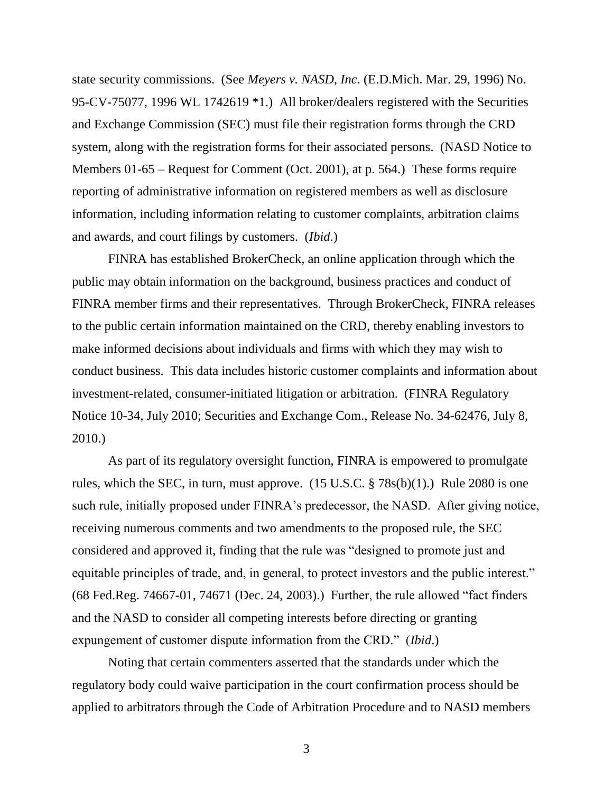state security commissions. (See *Meyers v. NASD, Inc*. (E.D.Mich. Mar. 29, 1996) No. 95-CV-75077, 1996 WL 1742619 \*1.) All broker/dealers registered with the Securities and Exchange Commission (SEC) must file their registration forms through the CRD system, along with the registration forms for their associated persons. (NASD Notice to Members 01-65 – Request for Comment (Oct. 2001), at p. 564.) These forms require reporting of administrative information on registered members as well as disclosure information, including information relating to customer complaints, arbitration claims and awards, and court filings by customers. (*Ibid*.)

FINRA has established BrokerCheck, an online application through which the public may obtain information on the background, business practices and conduct of FINRA member firms and their representatives. Through BrokerCheck, FINRA releases to the public certain information maintained on the CRD, thereby enabling investors to make informed decisions about individuals and firms with which they may wish to conduct business. This data includes historic customer complaints and information about investment-related, consumer-initiated litigation or arbitration. (FINRA Regulatory Notice 10-34, July 2010; Securities and Exchange Com., Release No. 34-62476, July 8, 2010.)

As part of its regulatory oversight function, FINRA is empowered to promulgate rules, which the SEC, in turn, must approve. (15 U.S.C. § 78s(b)(1).) Rule 2080 is one such rule, initially proposed under FINRA's predecessor, the NASD. After giving notice, receiving numerous comments and two amendments to the proposed rule, the SEC considered and approved it, finding that the rule was "designed to promote just and equitable principles of trade, and, in general, to protect investors and the public interest."  $(68 \text{ Fed} \cdot \text{Reg. } 74667 - 01, 74671 \cdot (\text{Dec. } 24, 2003)$ .) Further, the rule allowed "fact finders" and the NASD to consider all competing interests before directing or granting expungement of customer dispute information from the CRD." (*Ibid.*)

Noting that certain commenters asserted that the standards under which the regulatory body could waive participation in the court confirmation process should be applied to arbitrators through the Code of Arbitration Procedure and to NASD members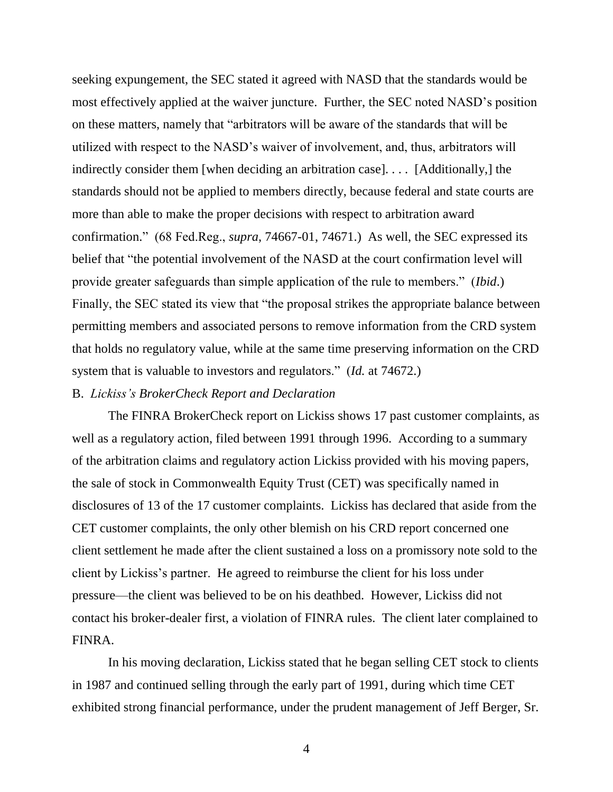seeking expungement, the SEC stated it agreed with NASD that the standards would be most effectively applied at the waiver juncture. Further, the SEC noted NASD's position on these matters, namely that "arbitrators will be aware of the standards that will be utilized with respect to the NASD's waiver of involvement, and, thus, arbitrators will indirectly consider them [when deciding an arbitration case]. . . . [Additionally,] the standards should not be applied to members directly, because federal and state courts are more than able to make the proper decisions with respect to arbitration award confirmation.‖ (68 Fed.Reg., *supra*, 74667-01, 74671.) As well, the SEC expressed its belief that "the potential involvement of the NASD at the court confirmation level will provide greater safeguards than simple application of the rule to members." (*Ibid.*) Finally, the SEC stated its view that "the proposal strikes the appropriate balance between permitting members and associated persons to remove information from the CRD system that holds no regulatory value, while at the same time preserving information on the CRD system that is valuable to investors and regulators." (*Id.* at 74672.)

#### B. *Lickiss's BrokerCheck Report and Declaration*

The FINRA BrokerCheck report on Lickiss shows 17 past customer complaints, as well as a regulatory action, filed between 1991 through 1996. According to a summary of the arbitration claims and regulatory action Lickiss provided with his moving papers, the sale of stock in Commonwealth Equity Trust (CET) was specifically named in disclosures of 13 of the 17 customer complaints. Lickiss has declared that aside from the CET customer complaints, the only other blemish on his CRD report concerned one client settlement he made after the client sustained a loss on a promissory note sold to the client by Lickiss's partner. He agreed to reimburse the client for his loss under pressure—the client was believed to be on his deathbed. However, Lickiss did not contact his broker-dealer first, a violation of FINRA rules. The client later complained to FINRA.

In his moving declaration, Lickiss stated that he began selling CET stock to clients in 1987 and continued selling through the early part of 1991, during which time CET exhibited strong financial performance, under the prudent management of Jeff Berger, Sr.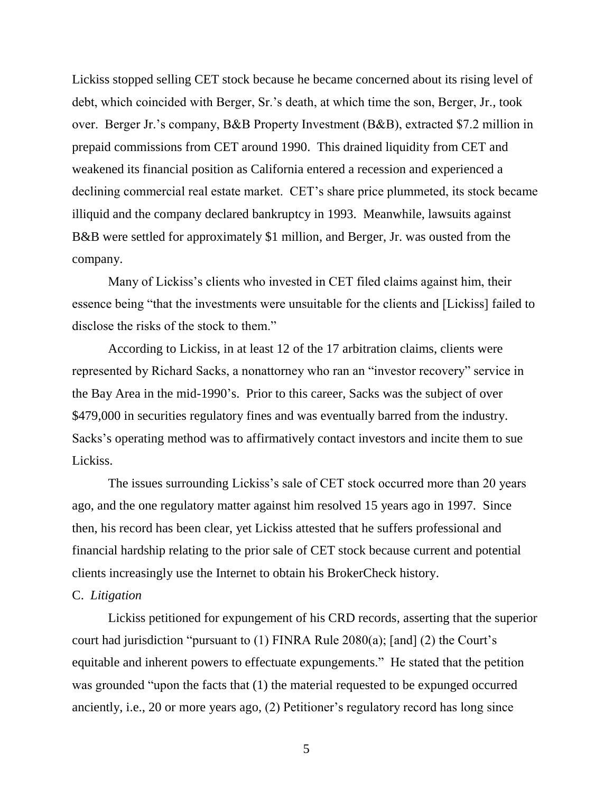Lickiss stopped selling CET stock because he became concerned about its rising level of debt, which coincided with Berger, Sr.'s death, at which time the son, Berger, Jr., took over. Berger Jr.'s company, B&B Property Investment (B&B), extracted \$7.2 million in prepaid commissions from CET around 1990. This drained liquidity from CET and weakened its financial position as California entered a recession and experienced a declining commercial real estate market. CET's share price plummeted, its stock became illiquid and the company declared bankruptcy in 1993. Meanwhile, lawsuits against B&B were settled for approximately \$1 million, and Berger, Jr. was ousted from the company.

Many of Lickiss's clients who invested in CET filed claims against him, their essence being "that the investments were unsuitable for the clients and [Lickiss] failed to disclose the risks of the stock to them."

According to Lickiss, in at least 12 of the 17 arbitration claims, clients were represented by Richard Sacks, a nonattorney who ran an "investor recovery" service in the Bay Area in the mid-1990's. Prior to this career, Sacks was the subject of over \$479,000 in securities regulatory fines and was eventually barred from the industry. Sacks's operating method was to affirmatively contact investors and incite them to sue Lickiss.

The issues surrounding Lickiss's sale of CET stock occurred more than 20 years ago, and the one regulatory matter against him resolved 15 years ago in 1997. Since then, his record has been clear, yet Lickiss attested that he suffers professional and financial hardship relating to the prior sale of CET stock because current and potential clients increasingly use the Internet to obtain his BrokerCheck history.

## C. *Litigation*

Lickiss petitioned for expungement of his CRD records, asserting that the superior court had jurisdiction "pursuant to  $(1)$  FINRA Rule 2080 $(a)$ ; [and]  $(2)$  the Court's equitable and inherent powers to effectuate expungements." He stated that the petition was grounded "upon the facts that  $(1)$  the material requested to be expunged occurred anciently, i.e., 20 or more years ago, (2) Petitioner's regulatory record has long since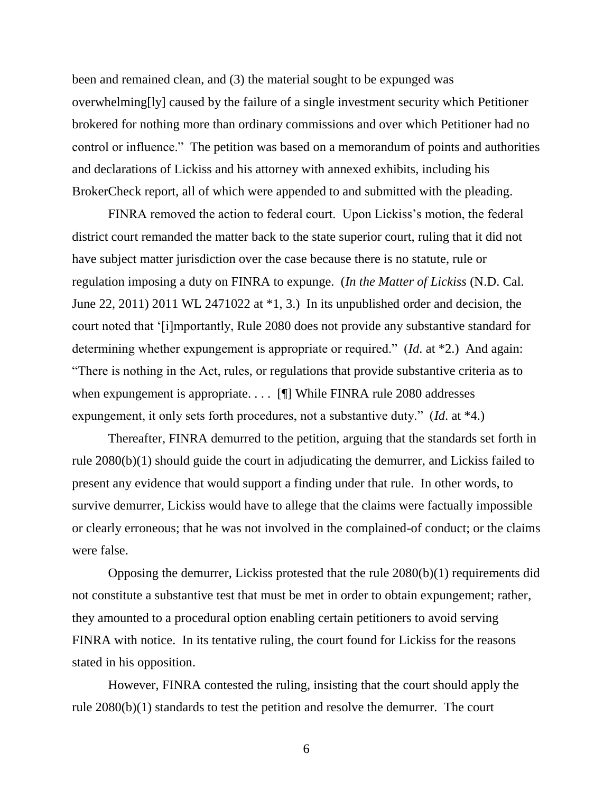been and remained clean, and (3) the material sought to be expunged was overwhelming[ly] caused by the failure of a single investment security which Petitioner brokered for nothing more than ordinary commissions and over which Petitioner had no control or influence." The petition was based on a memorandum of points and authorities and declarations of Lickiss and his attorney with annexed exhibits, including his BrokerCheck report, all of which were appended to and submitted with the pleading.

FINRA removed the action to federal court. Upon Lickiss's motion, the federal district court remanded the matter back to the state superior court, ruling that it did not have subject matter jurisdiction over the case because there is no statute, rule or regulation imposing a duty on FINRA to expunge. (*In the Matter of Lickiss* (N.D. Cal. June 22, 2011) 2011 WL 2471022 at \*1, 3.) In its unpublished order and decision, the court noted that ‗[i]mportantly, Rule 2080 does not provide any substantive standard for determining whether expungement is appropriate or required." (*Id.* at \*2.) And again: ―There is nothing in the Act, rules, or regulations that provide substantive criteria as to when expungement is appropriate. . . . [I] While FINRA rule 2080 addresses expungement, it only sets forth procedures, not a substantive duty." (*Id.* at \*4.)

Thereafter, FINRA demurred to the petition, arguing that the standards set forth in rule 2080(b)(1) should guide the court in adjudicating the demurrer, and Lickiss failed to present any evidence that would support a finding under that rule. In other words, to survive demurrer, Lickiss would have to allege that the claims were factually impossible or clearly erroneous; that he was not involved in the complained-of conduct; or the claims were false.

Opposing the demurrer, Lickiss protested that the rule 2080(b)(1) requirements did not constitute a substantive test that must be met in order to obtain expungement; rather, they amounted to a procedural option enabling certain petitioners to avoid serving FINRA with notice. In its tentative ruling, the court found for Lickiss for the reasons stated in his opposition.

However, FINRA contested the ruling, insisting that the court should apply the rule 2080(b)(1) standards to test the petition and resolve the demurrer. The court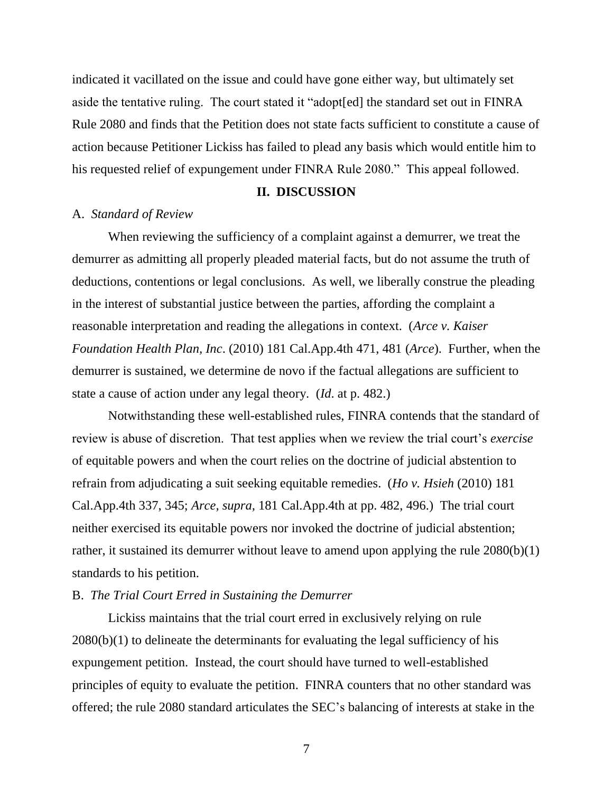indicated it vacillated on the issue and could have gone either way, but ultimately set aside the tentative ruling. The court stated it "adopt[ed] the standard set out in FINRA Rule 2080 and finds that the Petition does not state facts sufficient to constitute a cause of action because Petitioner Lickiss has failed to plead any basis which would entitle him to his requested relief of expungement under FINRA Rule 2080." This appeal followed.

#### **II. DISCUSSION**

### A. *Standard of Review*

When reviewing the sufficiency of a complaint against a demurrer, we treat the demurrer as admitting all properly pleaded material facts, but do not assume the truth of deductions, contentions or legal conclusions. As well, we liberally construe the pleading in the interest of substantial justice between the parties, affording the complaint a reasonable interpretation and reading the allegations in context. (*Arce v. Kaiser Foundation Health Plan, Inc*. (2010) 181 Cal.App.4th 471, 481 (*Arce*). Further, when the demurrer is sustained, we determine de novo if the factual allegations are sufficient to state a cause of action under any legal theory. (*Id*. at p. 482.)

Notwithstanding these well-established rules, FINRA contends that the standard of review is abuse of discretion. That test applies when we review the trial court's *exercise* of equitable powers and when the court relies on the doctrine of judicial abstention to refrain from adjudicating a suit seeking equitable remedies. (*Ho v. Hsieh* (2010) 181 Cal.App.4th 337, 345; *Arce, supra,* 181 Cal.App.4th at pp. 482, 496.) The trial court neither exercised its equitable powers nor invoked the doctrine of judicial abstention; rather, it sustained its demurrer without leave to amend upon applying the rule 2080(b)(1) standards to his petition.

## B. *The Trial Court Erred in Sustaining the Demurrer*

Lickiss maintains that the trial court erred in exclusively relying on rule 2080(b)(1) to delineate the determinants for evaluating the legal sufficiency of his expungement petition. Instead, the court should have turned to well-established principles of equity to evaluate the petition. FINRA counters that no other standard was offered; the rule 2080 standard articulates the SEC's balancing of interests at stake in the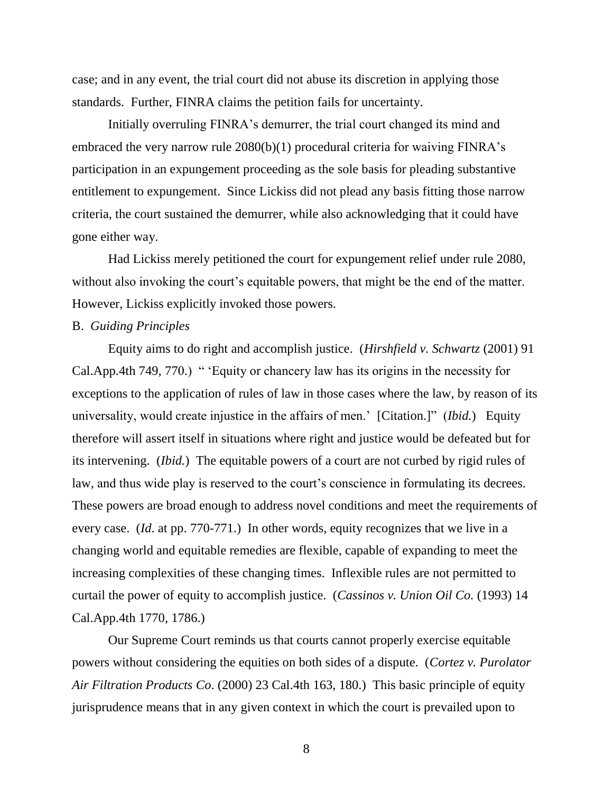case; and in any event, the trial court did not abuse its discretion in applying those standards. Further, FINRA claims the petition fails for uncertainty.

Initially overruling FINRA's demurrer, the trial court changed its mind and embraced the very narrow rule 2080(b)(1) procedural criteria for waiving FINRA's participation in an expungement proceeding as the sole basis for pleading substantive entitlement to expungement. Since Lickiss did not plead any basis fitting those narrow criteria, the court sustained the demurrer, while also acknowledging that it could have gone either way.

Had Lickiss merely petitioned the court for expungement relief under rule 2080, without also invoking the court's equitable powers, that might be the end of the matter. However, Lickiss explicitly invoked those powers.

## B. *Guiding Principles*

Equity aims to do right and accomplish justice. (*Hirshfield v. Schwartz* (2001) 91 Cal.App.4th 749, 770.) " Equity or chancery law has its origins in the necessity for exceptions to the application of rules of law in those cases where the law, by reason of its universality, would create injustice in the affairs of men.' [Citation.]" *(Ibid.)* Equity therefore will assert itself in situations where right and justice would be defeated but for its intervening. (*Ibid.*) The equitable powers of a court are not curbed by rigid rules of law, and thus wide play is reserved to the court's conscience in formulating its decrees. These powers are broad enough to address novel conditions and meet the requirements of every case. (*Id*. at pp. 770-771.) In other words, equity recognizes that we live in a changing world and equitable remedies are flexible, capable of expanding to meet the increasing complexities of these changing times. Inflexible rules are not permitted to curtail the power of equity to accomplish justice. (*Cassinos v. Union Oil Co.* (1993) 14 Cal.App.4th 1770, 1786.)

Our Supreme Court reminds us that courts cannot properly exercise equitable powers without considering the equities on both sides of a dispute. (*Cortez v. Purolator Air Filtration Products Co*. (2000) 23 Cal.4th 163, 180.) This basic principle of equity jurisprudence means that in any given context in which the court is prevailed upon to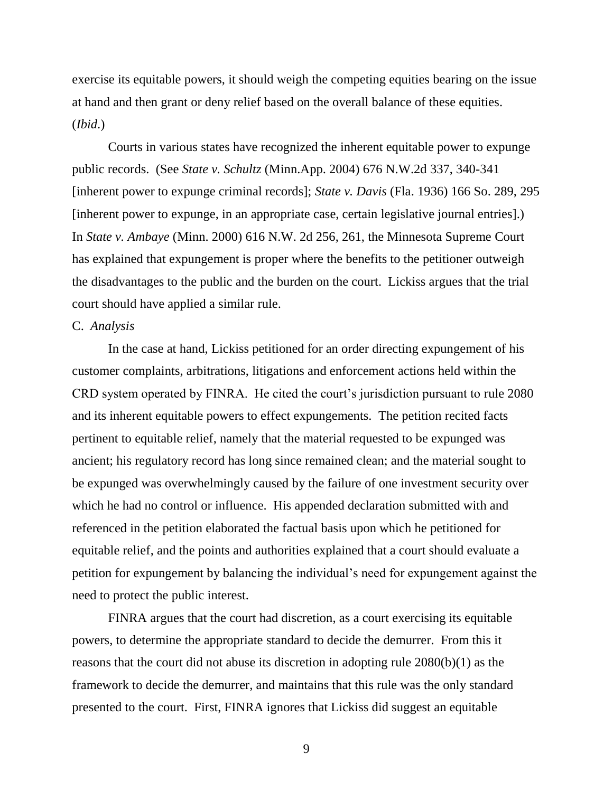exercise its equitable powers, it should weigh the competing equities bearing on the issue at hand and then grant or deny relief based on the overall balance of these equities. (*Ibid*.)

Courts in various states have recognized the inherent equitable power to expunge public records. (See *State v. Schultz* (Minn.App. 2004) 676 N.W.2d 337, 340-341 [inherent power to expunge criminal records]; *State v. Davis* (Fla. 1936) 166 So. 289, 295 [inherent power to expunge, in an appropriate case, certain legislative journal entries].) In *State v. Ambaye* (Minn. 2000) 616 N.W. 2d 256, 261, the Minnesota Supreme Court has explained that expungement is proper where the benefits to the petitioner outweigh the disadvantages to the public and the burden on the court. Lickiss argues that the trial court should have applied a similar rule.

## C. *Analysis*

In the case at hand, Lickiss petitioned for an order directing expungement of his customer complaints, arbitrations, litigations and enforcement actions held within the CRD system operated by FINRA. He cited the court's jurisdiction pursuant to rule 2080 and its inherent equitable powers to effect expungements. The petition recited facts pertinent to equitable relief, namely that the material requested to be expunged was ancient; his regulatory record has long since remained clean; and the material sought to be expunged was overwhelmingly caused by the failure of one investment security over which he had no control or influence. His appended declaration submitted with and referenced in the petition elaborated the factual basis upon which he petitioned for equitable relief, and the points and authorities explained that a court should evaluate a petition for expungement by balancing the individual's need for expungement against the need to protect the public interest.

FINRA argues that the court had discretion, as a court exercising its equitable powers, to determine the appropriate standard to decide the demurrer. From this it reasons that the court did not abuse its discretion in adopting rule 2080(b)(1) as the framework to decide the demurrer, and maintains that this rule was the only standard presented to the court. First, FINRA ignores that Lickiss did suggest an equitable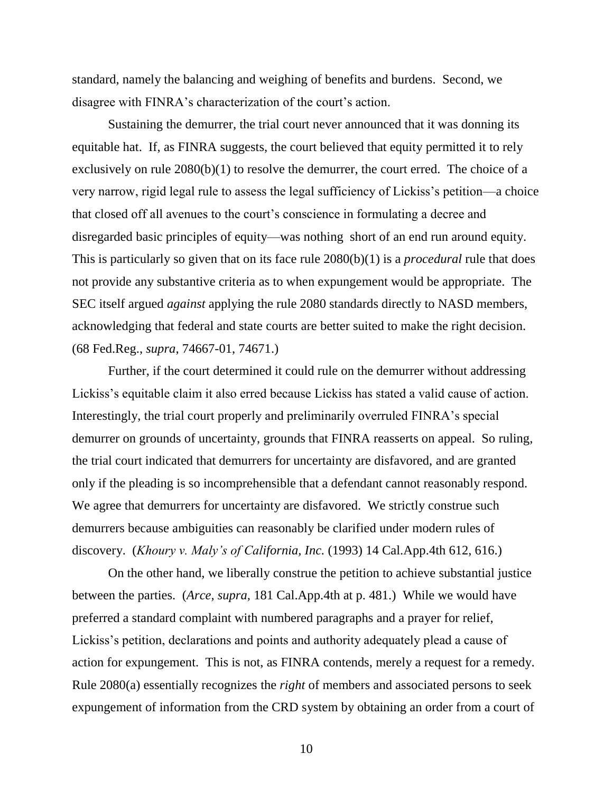standard, namely the balancing and weighing of benefits and burdens. Second, we disagree with FINRA's characterization of the court's action.

Sustaining the demurrer, the trial court never announced that it was donning its equitable hat. If, as FINRA suggests, the court believed that equity permitted it to rely exclusively on rule 2080(b)(1) to resolve the demurrer, the court erred. The choice of a very narrow, rigid legal rule to assess the legal sufficiency of Lickiss's petition—a choice that closed off all avenues to the court's conscience in formulating a decree and disregarded basic principles of equity—was nothing short of an end run around equity. This is particularly so given that on its face rule 2080(b)(1) is a *procedural* rule that does not provide any substantive criteria as to when expungement would be appropriate. The SEC itself argued *against* applying the rule 2080 standards directly to NASD members, acknowledging that federal and state courts are better suited to make the right decision. (68 Fed.Reg., *supra*, 74667-01, 74671.)

Further, if the court determined it could rule on the demurrer without addressing Lickiss's equitable claim it also erred because Lickiss has stated a valid cause of action. Interestingly, the trial court properly and preliminarily overruled FINRA's special demurrer on grounds of uncertainty, grounds that FINRA reasserts on appeal. So ruling, the trial court indicated that demurrers for uncertainty are disfavored, and are granted only if the pleading is so incomprehensible that a defendant cannot reasonably respond. We agree that demurrers for uncertainty are disfavored. We strictly construe such demurrers because ambiguities can reasonably be clarified under modern rules of discovery. (*Khoury v. Maly's of California, Inc.* (1993) 14 Cal.App.4th 612, 616.)

On the other hand, we liberally construe the petition to achieve substantial justice between the parties. (*Arce, supra,* 181 Cal.App.4th at p. 481.) While we would have preferred a standard complaint with numbered paragraphs and a prayer for relief, Lickiss's petition, declarations and points and authority adequately plead a cause of action for expungement. This is not, as FINRA contends, merely a request for a remedy. Rule 2080(a) essentially recognizes the *right* of members and associated persons to seek expungement of information from the CRD system by obtaining an order from a court of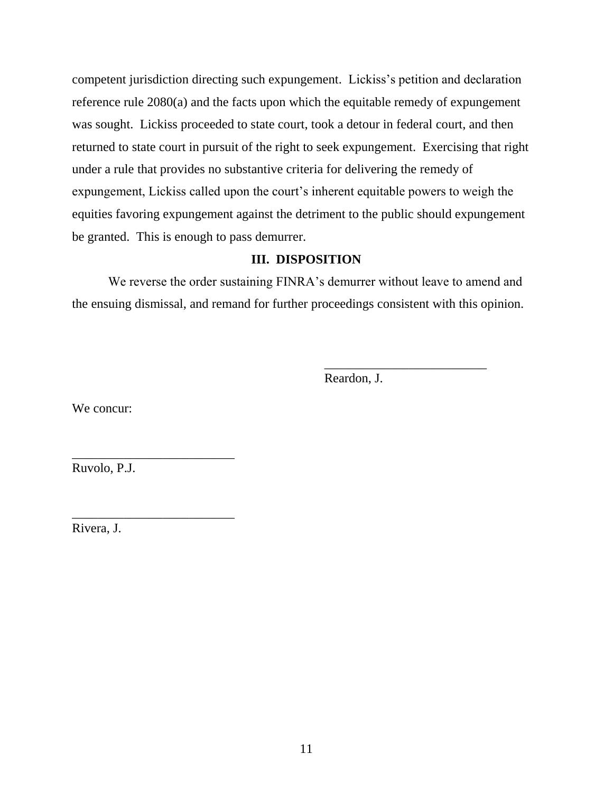competent jurisdiction directing such expungement. Lickiss's petition and declaration reference rule 2080(a) and the facts upon which the equitable remedy of expungement was sought. Lickiss proceeded to state court, took a detour in federal court, and then returned to state court in pursuit of the right to seek expungement. Exercising that right under a rule that provides no substantive criteria for delivering the remedy of expungement, Lickiss called upon the court's inherent equitable powers to weigh the equities favoring expungement against the detriment to the public should expungement be granted. This is enough to pass demurrer.

# **III. DISPOSITION**

We reverse the order sustaining FINRA's demurrer without leave to amend and the ensuing dismissal, and remand for further proceedings consistent with this opinion.

Reardon, J.

\_\_\_\_\_\_\_\_\_\_\_\_\_\_\_\_\_\_\_\_\_\_\_\_\_

We concur:

Ruvolo, P.J.

\_\_\_\_\_\_\_\_\_\_\_\_\_\_\_\_\_\_\_\_\_\_\_\_\_

\_\_\_\_\_\_\_\_\_\_\_\_\_\_\_\_\_\_\_\_\_\_\_\_\_

Rivera, J.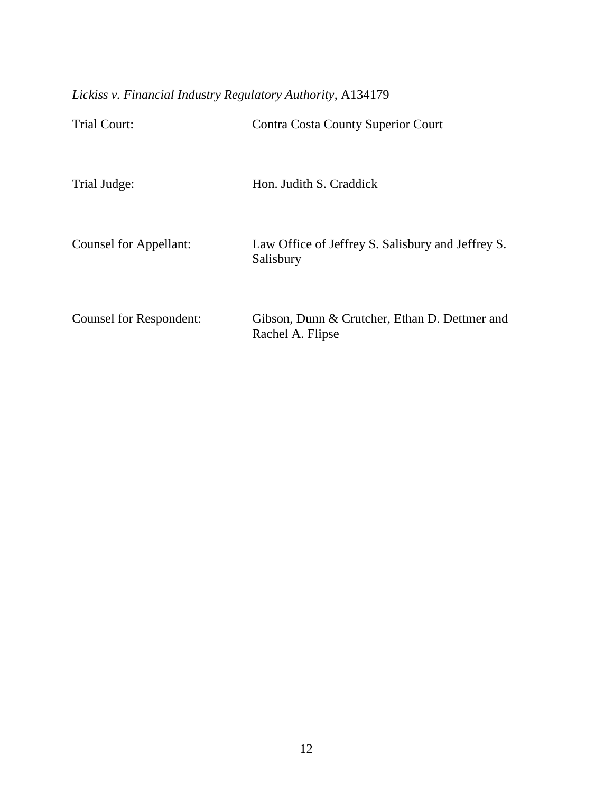*Lickiss v. Financial Industry Regulatory Authority*, A134179

| <b>Trial Court:</b>     | Contra Costa County Superior Court                                |
|-------------------------|-------------------------------------------------------------------|
| Trial Judge:            | Hon. Judith S. Craddick                                           |
| Counsel for Appellant:  | Law Office of Jeffrey S. Salisbury and Jeffrey S.<br>Salisbury    |
| Counsel for Respondent: | Gibson, Dunn & Crutcher, Ethan D. Dettmer and<br>Rachel A. Flipse |